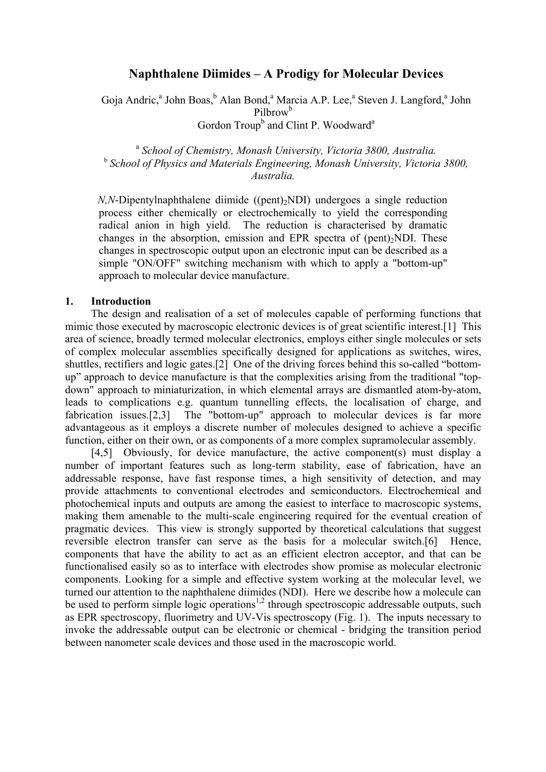# **Naphthalene Diimides – A Prodigy for Molecular Devices**

Goja Andric,<sup>a</sup> John Boas, <sup>b</sup> Alan Bond,<sup>a</sup> Marcia A.P. Lee,<sup>a</sup> Steven J. Langford,<sup>a</sup> John Pilbrow<sup>b</sup> Gordon Troup<sup>b</sup> and Clint P. Woodward<sup>a</sup>

<sup>a</sup> *School of Chemistry, Monash University, Victoria 3800, Australia.*  <sup>b</sup> *School of Physics and Materials Engineering, Monash University, Victoria 3800, Australia.* 

*N,N*-Dipentylnaphthalene diimide ((pent)<sub>2</sub>NDI) undergoes a single reduction process either chemically or electrochemically to yield the corresponding radical anion in high yield. The reduction is characterised by dramatic changes in the absorption, emission and EPR spectra of (pent) $\Delta$ NDI. These changes in spectroscopic output upon an electronic input can be described as a simple "ON/OFF" switching mechanism with which to apply a "bottom-up" approach to molecular device manufacture.

#### **1. Introduction**

The design and realisation of a set of molecules capable of performing functions that mimic those executed by macroscopic electronic devices is of great scientific interest.[1] This area of science, broadly termed molecular electronics, employs either single molecules or sets of complex molecular assemblies specifically designed for applications as switches, wires, shuttles, rectifiers and logic gates.[2] One of the driving forces behind this so-called "bottomup" approach to device manufacture is that the complexities arising from the traditional "topdown" approach to miniaturization, in which elemental arrays are dismantled atom-by-atom, leads to complications e.g. quantum tunnelling effects, the localisation of charge, and fabrication issues.[2,3] The "bottom-up" approach to molecular devices is far more advantageous as it employs a discrete number of molecules designed to achieve a specific function, either on their own, or as components of a more complex supramolecular assembly.

[4,5] Obviously, for device manufacture, the active component(s) must display a number of important features such as long-term stability, ease of fabrication, have an addressable response, have fast response times, a high sensitivity of detection, and may provide attachments to conventional electrodes and semiconductors. Electrochemical and photochemical inputs and outputs are among the easiest to interface to macroscopic systems, making them amenable to the multi-scale engineering required for the eventual creation of pragmatic devices. This view is strongly supported by theoretical calculations that suggest reversible electron transfer can serve as the basis for a molecular switch.[6] Hence, components that have the ability to act as an efficient electron acceptor, and that can be functionalised easily so as to interface with electrodes show promise as molecular electronic components. Looking for a simple and effective system working at the molecular level, we turned our attention to the naphthalene diimides (NDI). Here we describe how a molecule can be used to perform simple logic operations<sup>1,2</sup> through spectroscopic addressable outputs, such as EPR spectroscopy, fluorimetry and UV-Vis spectroscopy (Fig. 1). The inputs necessary to invoke the addressable output can be electronic or chemical - bridging the transition period between nanometer scale devices and those used in the macroscopic world.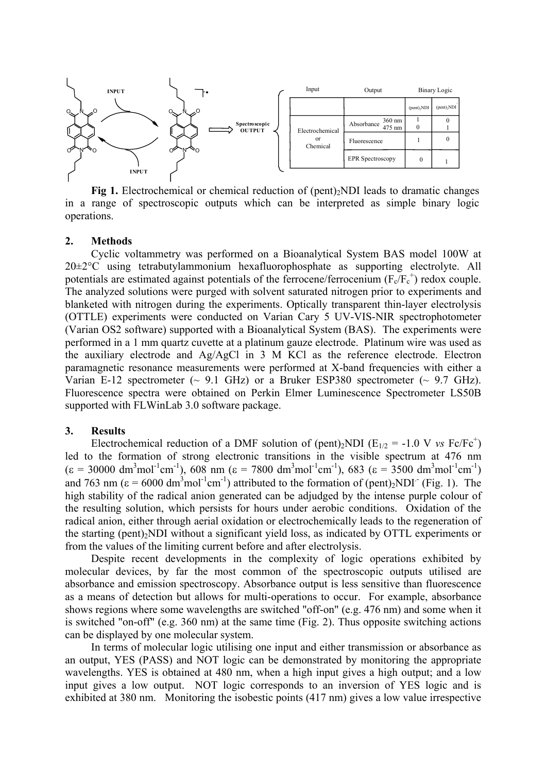

**Fig 1.** Electrochemical or chemical reduction of (pent)<sub>2</sub>NDI leads to dramatic changes in a range of spectroscopic outputs which can be interpreted as simple binary logic operations.

## **2. Methods**

Cyclic voltammetry was performed on a Bioanalytical System BAS model 100W at 20±2°C using tetrabutylammonium hexafluorophosphate as supporting electrolyte. All potentials are estimated against potentials of the ferrocene/ferrocenium  $(F_e/F_e^+)$  redox couple. The analyzed solutions were purged with solvent saturated nitrogen prior to experiments and blanketed with nitrogen during the experiments. Optically transparent thin-layer electrolysis (OTTLE) experiments were conducted on Varian Cary 5 UV-VIS-NIR spectrophotometer (Varian OS2 software) supported with a Bioanalytical System (BAS). The experiments were performed in a 1 mm quartz cuvette at a platinum gauze electrode. Platinum wire was used as the auxiliary electrode and Ag/AgCl in 3 M KCl as the reference electrode. Electron paramagnetic resonance measurements were performed at X-band frequencies with either a Varian E-12 spectrometer  $(\sim 9.1 \text{ GHz})$  or a Bruker ESP380 spectrometer  $(\sim 9.7 \text{ GHz})$ . Fluorescence spectra were obtained on Perkin Elmer Luminescence Spectrometer LS50B supported with FLWinLab 3.0 software package.

#### **3. Results**

Electrochemical reduction of a DMF solution of (pent)<sub>2</sub>NDI ( $E_{1/2}$  = -1.0 V *vs* Fc/Fc<sup>+</sup>) led to the formation of strong electronic transitions in the visible spectrum at 476 nm  $(\epsilon = 30000 \text{ dm}^3 \text{mol}^{-1} \text{cm}^{-1})$ , 608 nm  $(\epsilon = 7800 \text{ dm}^3 \text{mol}^{-1} \text{cm}^{-1})$ , 683  $(\epsilon = 3500 \text{ dm}^3 \text{mol}^{-1} \text{cm}^{-1})$ and 763 nm ( $\varepsilon = 6000 \text{ dm}^3 \text{mol}^{-1} \text{cm}^{-1}$ ) attributed to the formation of (pent)<sub>2</sub>NDI<sup>-</sup> (Fig. 1). The high stability of the radical anion generated can be adjudged by the intense purple colour of the resulting solution, which persists for hours under aerobic conditions. Oxidation of the radical anion, either through aerial oxidation or electrochemically leads to the regeneration of the starting (pent)<sub>2</sub>NDI without a significant yield loss, as indicated by OTTL experiments or from the values of the limiting current before and after electrolysis.

Despite recent developments in the complexity of logic operations exhibited by molecular devices, by far the most common of the spectroscopic outputs utilised are absorbance and emission spectroscopy. Absorbance output is less sensitive than fluorescence as a means of detection but allows for multi-operations to occur. For example, absorbance shows regions where some wavelengths are switched "off-on" (e.g. 476 nm) and some when it is switched "on-off" (e.g. 360 nm) at the same time (Fig. 2). Thus opposite switching actions can be displayed by one molecular system.

In terms of molecular logic utilising one input and either transmission or absorbance as an output, YES (PASS) and NOT logic can be demonstrated by monitoring the appropriate wavelengths. YES is obtained at 480 nm, when a high input gives a high output; and a low input gives a low output. NOT logic corresponds to an inversion of YES logic and is exhibited at 380 nm. Monitoring the isobestic points (417 nm) gives a low value irrespective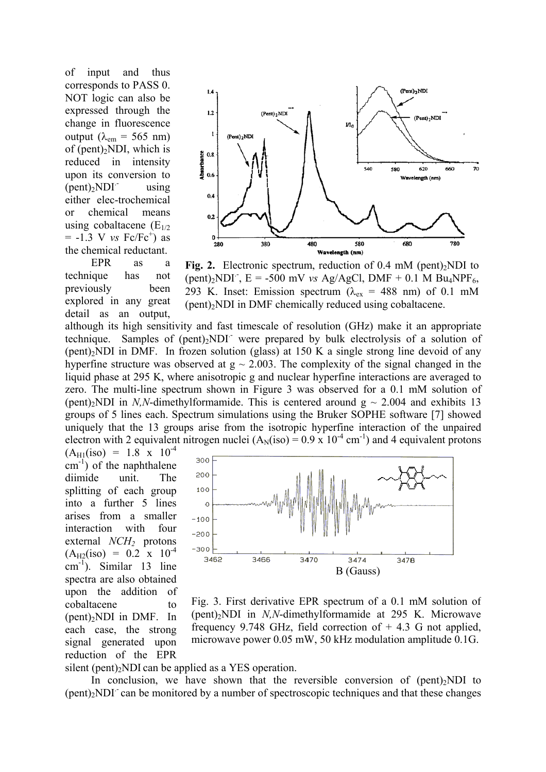of input and thus corresponds to PASS 0. NOT logic can also be expressed through the change in fluorescence output ( $λ_{em}$  = 565 nm) of (pent)<sub>2</sub>NDI, which is reduced in intensity upon its conversion to  $(pent)_{2}NDI$  using either elec-trochemical or chemical means using cobaltacene  $(E_{1/2})$  $= -1.3$  V *vs* Fc/Fc<sup>+</sup>) as the chemical reductant.



EPR as a technique has not previously been explored in any great detail as an output,



although its high sensitivity and fast timescale of resolution (GHz) make it an appropriate technique. Samples of  $(pent)_2NDI$  were prepared by bulk electrolysis of a solution of  $(pent)<sub>2</sub>NDI$  in DMF. In frozen solution (glass) at 150 K a single strong line devoid of any hyperfine structure was observed at  $g \sim 2.003$ . The complexity of the signal changed in the liquid phase at 295 K, where anisotropic g and nuclear hyperfine interactions are averaged to zero. The multi-line spectrum shown in Figure 3 was observed for a 0.1 mM solution of (pent)<sub>2</sub>NDI in *N,N*-dimethylformamide. This is centered around  $g \sim 2.004$  and exhibits 13 groups of 5 lines each. Spectrum simulations using the Bruker SOPHE software [7] showed uniquely that the 13 groups arise from the isotropic hyperfine interaction of the unpaired electron with 2 equivalent nitrogen nuclei  $(A_N(iso) = 0.9 \times 10^{-4} \text{ cm}^{-1})$  and 4 equivalent protons

 $(A_{H1}(iso) = 1.8 \times 10^{-4}$  $\text{cm}^{-1}$ ) of the naphthalene diimide unit. The splitting of each group into a further 5 lines arises from a smaller interaction with four external *NCH*<sub>2</sub> protons  $(A_{H2}(iso) = 0.2 \times 10^{-4}$ cm -1). Similar 13 line spectra are also obtained upon the addition of cobaltacene to  $(pent)<sub>2</sub>NDI$  in DMF. In each case, the strong signal generated upon reduction of the EPR



Fig. 3. First derivative EPR spectrum of a 0.1 mM solution of (pent)2NDI in *N,N*-dimethylformamide at 295 K. Microwave frequency 9.748 GHz, field correction of  $+$  4.3 G not applied, microwave power 0.05 mW, 50 kHz modulation amplitude 0.1G.

silent (pent)<sup>2</sup>NDI can be applied as a YES operation.

In conclusion, we have shown that the reversible conversion of  $(pent)_{2}NDI$  to  $(pent)<sub>2</sub>NDI<sup>-</sup>$  can be monitored by a number of spectroscopic techniques and that these changes